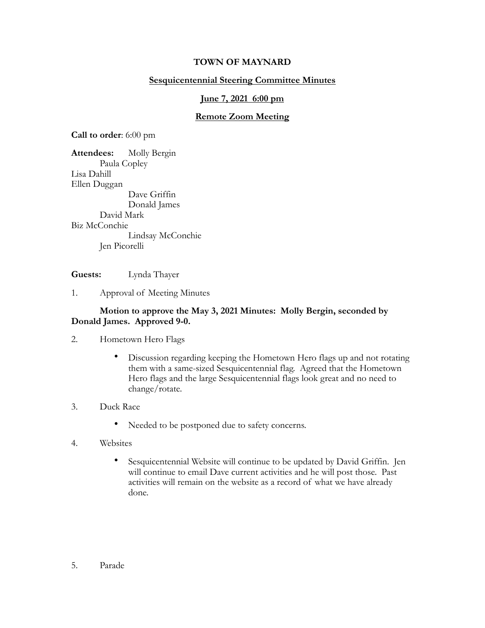## **TOWN OF MAYNARD**

## **Sesquicentennial Steering Committee Minutes**

### **June 7, 2021 6:00 pm**

### **Remote Zoom Meeting**

**Call to order**: 6:00 pm

**Attendees:** Molly Bergin Paula Copley Lisa Dahill Ellen Duggan Dave Griffin Donald James David Mark Biz McConchie Lindsay McConchie Jen Picorelli

**Guests:** Lynda Thayer

1. Approval of Meeting Minutes

#### **Motion to approve the May 3, 2021 Minutes: Molly Bergin, seconded by Donald James. Approved 9-0.**

- 2. Hometown Hero Flags
	- Discussion regarding keeping the Hometown Hero flags up and not rotating them with a same-sized Sesquicentennial flag. Agreed that the Hometown Hero flags and the large Sesquicentennial flags look great and no need to change/rotate.
- 3. Duck Race
	- Needed to be postponed due to safety concerns.
- 4. Websites
	- Sesquicentennial Website will continue to be updated by David Griffin. Jen will continue to email Dave current activities and he will post those. Past activities will remain on the website as a record of what we have already done.

5. Parade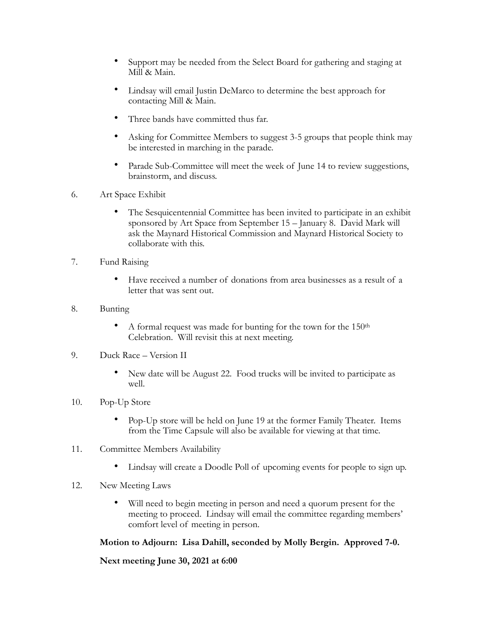- Support may be needed from the Select Board for gathering and staging at Mill & Main.
- Lindsay will email Justin DeMarco to determine the best approach for contacting Mill & Main.
- Three bands have committed thus far.
- Asking for Committee Members to suggest 3-5 groups that people think may be interested in marching in the parade.
- Parade Sub-Committee will meet the week of June 14 to review suggestions, brainstorm, and discuss.
- 6. Art Space Exhibit
	- The Sesquicentennial Committee has been invited to participate in an exhibit sponsored by Art Space from September 15 – January 8. David Mark will ask the Maynard Historical Commission and Maynard Historical Society to collaborate with this.
- 7. Fund Raising
	- Have received a number of donations from area businesses as a result of a letter that was sent out.
- 8. Bunting
	- A formal request was made for bunting for the town for the 150<sup>th</sup> Celebration. Will revisit this at next meeting.
- 9. Duck Race Version II
	- New date will be August 22. Food trucks will be invited to participate as well.
- 10. Pop-Up Store
	- Pop-Up store will be held on June 19 at the former Family Theater. Items from the Time Capsule will also be available for viewing at that time.
- 11. Committee Members Availability
	- Lindsay will create a Doodle Poll of upcoming events for people to sign up.
- 12. New Meeting Laws
	- Will need to begin meeting in person and need a quorum present for the meeting to proceed. Lindsay will email the committee regarding members' comfort level of meeting in person.

# **Motion to Adjourn: Lisa Dahill, seconded by Molly Bergin. Approved 7-0.**

**Next meeting June 30, 2021 at 6:00**